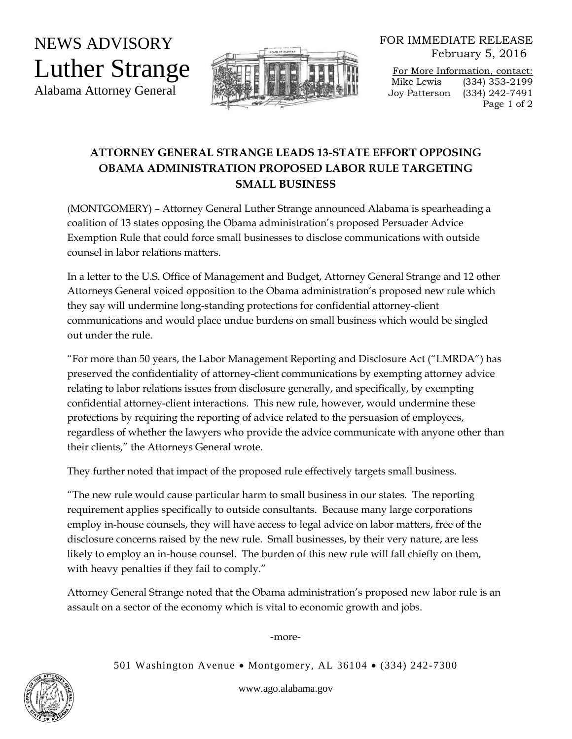NEWS ADVISORY Luther Strange Alabama Attorney General



FOR IMMEDIATE RELEASE February 5, 2016

For More Information, contact: Mike Lewis (334) 353-2199 Joy Patterson (334) 242-7491 Page 1 of 2

## **ATTORNEY GENERAL STRANGE LEADS 13-STATE EFFORT OPPOSING OBAMA ADMINISTRATION PROPOSED LABOR RULE TARGETING SMALL BUSINESS**

(MONTGOMERY) – Attorney General Luther Strange announced Alabama is spearheading a coalition of 13 states opposing the Obama administration's proposed Persuader Advice Exemption Rule that could force small businesses to disclose communications with outside counsel in labor relations matters.

In a letter to the U.S. Office of Management and Budget, Attorney General Strange and 12 other Attorneys General voiced opposition to the Obama administration's proposed new rule which they say will undermine long-standing protections for confidential attorney-client communications and would place undue burdens on small business which would be singled out under the rule.

"For more than 50 years, the Labor Management Reporting and Disclosure Act ("LMRDA") has preserved the confidentiality of attorney-client communications by exempting attorney advice relating to labor relations issues from disclosure generally, and specifically, by exempting confidential attorney-client interactions. This new rule, however, would undermine these protections by requiring the reporting of advice related to the persuasion of employees, regardless of whether the lawyers who provide the advice communicate with anyone other than their clients," the Attorneys General wrote.

They further noted that impact of the proposed rule effectively targets small business.

"The new rule would cause particular harm to small business in our states. The reporting requirement applies specifically to outside consultants. Because many large corporations employ in-house counsels, they will have access to legal advice on labor matters, free of the disclosure concerns raised by the new rule. Small businesses, by their very nature, are less likely to employ an in-house counsel. The burden of this new rule will fall chiefly on them, with heavy penalties if they fail to comply."

Attorney General Strange noted that the Obama administration's proposed new labor rule is an assault on a sector of the economy which is vital to economic growth and jobs.

-more-

501 Washington Avenue • Montgomery, AL 36104 • (334) 242-7300

www.ago.alabama.gov

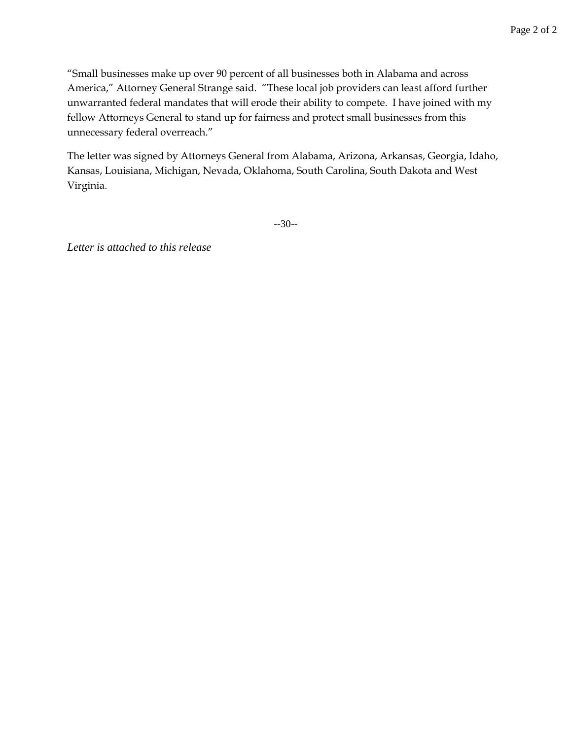"Small businesses make up over 90 percent of all businesses both in Alabama and across America," Attorney General Strange said. "These local job providers can least afford further unwarranted federal mandates that will erode their ability to compete. I have joined with my fellow Attorneys General to stand up for fairness and protect small businesses from this unnecessary federal overreach."

The letter was signed by Attorneys General from Alabama, Arizona, Arkansas, Georgia, Idaho, Kansas, Louisiana, Michigan, Nevada, Oklahoma, South Carolina, South Dakota and West Virginia.

--30--

*Letter is attached to this release*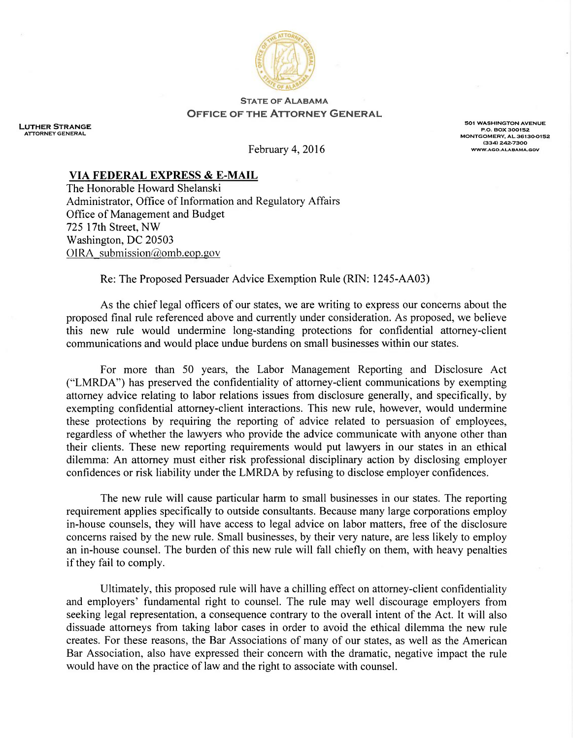

## **STATE OF ALABAMA OFFICE OF THE ATTORNEY GENERAL**

**LUTHER STRANGE ATTORNEY GENERAL** 

**501 WASHINGTON AVENUE** P.O. BOX 300152<br>MONTGOMERY, AL 36130-0152  $(334) 242 - 7300$ WWW.AGO.ALABAMA.GOV

February 4, 2016

## VIA FEDERAL EXPRESS & E-MAIL

The Honorable Howard Shelanski Administrator, Office of Information and Regulatory Affairs Office of Management and Budget 725 17th Street, NW Washington, DC 20503 OIRA submission@omb.eop.gov

Re: The Proposed Persuader Advice Exemption Rule (RIN: 1245-AA03)

As the chief legal officers of our states, we are writing to express our concerns about the proposed final rule referenced above and currently under consideration. As proposed, we believe this new rule would undermine long-standing protections for confidential attorney-client communications and would place undue burdens on small businesses within our states.

For more than 50 years, the Labor Management Reporting and Disclosure Act ("LMRDA") has preserved the confidentiality of attorney-client communications by exempting attorney advice relating to labor relations issues from disclosure generally, and specifically, by exempting confidential attorney-client interactions. This new rule, however, would undermine these protections by requiring the reporting of advice related to persuasion of employees, regardless of whether the lawyers who provide the advice communicate with anyone other than their clients. These new reporting requirements would put lawyers in our states in an ethical dilemma: An attorney must either risk professional disciplinary action by disclosing employer confidences or risk liability under the LMRDA by refusing to disclose employer confidences.

The new rule will cause particular harm to small businesses in our states. The reporting requirement applies specifically to outside consultants. Because many large corporations employ in-house counsels, they will have access to legal advice on labor matters, free of the disclosure concerns raised by the new rule. Small businesses, by their very nature, are less likely to employ an in-house counsel. The burden of this new rule will fall chiefly on them, with heavy penalties if they fail to comply.

Ultimately, this proposed rule will have a chilling effect on attorney-client confidentiality and employers' fundamental right to counsel. The rule may well discourage employers from seeking legal representation, a consequence contrary to the overall intent of the Act. It will also dissuade attorneys from taking labor cases in order to avoid the ethical dilemma the new rule creates. For these reasons, the Bar Associations of many of our states, as well as the American Bar Association, also have expressed their concern with the dramatic, negative impact the rule would have on the practice of law and the right to associate with counsel.